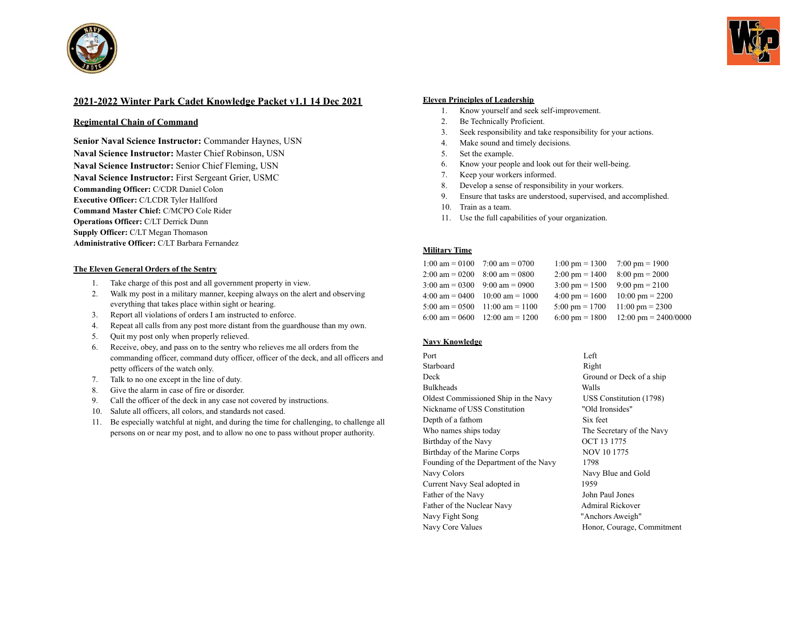



# **2021-2022 Winter Park Cadet Knowledge Packet v1.1 14 Dec 2021**

# **Regimental Chain of Command**

**Senior Naval Science Instructor:** Commander Haynes, USN **Naval Science Instructor:** Master Chief Robinson, USN **Naval Science Instructor:** Senior Chief Fleming, USN **Naval Science Instructor:** First Sergeant Grier, USMC **Commanding Officer:** C/CDR Daniel Colon **Executive Officer:** C/LCDR Tyler Hallford **Command Master Chief:** C/MCPO Cole Rider **Operations Officer:** C/LT Derrick Dunn **Supply Officer:** C/LT Megan Thomason **Administrative Officer:** C/LT Barbara Fernandez

## **The Eleven General Orders of the Sentry**

- 1. Take charge of this post and all government property in view.
- 2. Walk my post in a military manner, keeping always on the alert and observing everything that takes place within sight or hearing.
- 3. Report all violations of orders I am instructed to enforce.
- 4. Repeat all calls from any post more distant from the guardhouse than my own.
- 5. Quit my post only when properly relieved.
- 6. Receive, obey, and pass on to the sentry who relieves me all orders from the commanding officer, command duty officer, officer of the deck, and all officers and petty officers of the watch only.
- 7. Talk to no one except in the line of duty.
- 8. Give the alarm in case of fire or disorder.
- 9. Call the officer of the deck in any case not covered by instructions.
- 10. Salute all officers, all colors, and standards not cased.
- 11. Be especially watchful at night, and during the time for challenging, to challenge all persons on or near my post, and to allow no one to pass without proper authority.

## **Eleven Principles of Leadership**

- 1. Know yourself and seek self-improvement.
- 2. Be Technically Proficient.
- 3. Seek responsibility and take responsibility for your actions.
- 4. Make sound and timely decisions.
- 5. Set the example.
- 6. Know your people and look out for their well-being.
- 7. Keep your workers informed.
- 8. Develop a sense of responsibility in your workers.
- 9. Ensure that tasks are understood, supervised, and accomplished.
- 10. Train as a team.
- 11. Use the full capabilities of your organization.

## **Military Time**

| 1:00 am = 0100 7:00 am = 0700                     |                                                    | $1:00 \text{ pm} = 1300$ 7:00 pm = 1900           |                                                    |
|---------------------------------------------------|----------------------------------------------------|---------------------------------------------------|----------------------------------------------------|
| $2:00 \text{ am} = 0200$ $8:00 \text{ am} = 0800$ |                                                    | $2:00 \text{ pm} = 1400$ $8:00 \text{ pm} = 2000$ |                                                    |
| $3:00 \text{ am} = 0300$ $9:00 \text{ am} = 0900$ |                                                    | $3:00 \text{ pm} = 1500$ $9:00 \text{ pm} = 2100$ |                                                    |
|                                                   | $4:00 \text{ am} = 0400$ $10:00 \text{ am} = 1000$ |                                                   | $4:00 \text{ pm} = 1600$ $10:00 \text{ pm} = 2200$ |
|                                                   | $5:00 \text{ am} = 0500$ 11:00 am = 1100           |                                                   | $5:00 \text{ pm} = 1700$ 11:00 pm = 2300           |
|                                                   | 6:00 am = 0600 12:00 am = 1200                     |                                                   | 6:00 pm = 1800 12:00 pm = 2400/0000                |

# **Navy Knowledge**

Port Left Starboard Right Deck Ground or Deck of a ship Bulkheads Walls Oldest Commissioned Ship in the Navy USS Constitution (1798) Nickname of USS Constitution "Old Ironsides" Depth of a fathom Six feet Who names ships today The Secretary of the Navy Birthday of the Navy OCT 13 1775 Birthday of the Marine Corps NOV 10 1775 Founding of the Department of the Navy 1798 Navy Colors Navy Blue and Gold Current Navy Seal adopted in 1959 Father of the Navy John Paul Jones Father of the Nuclear Navy Admiral Rickover Navy Fight Song "Anchors Aweigh" Navy Core Values Honor, Courage, Commitment